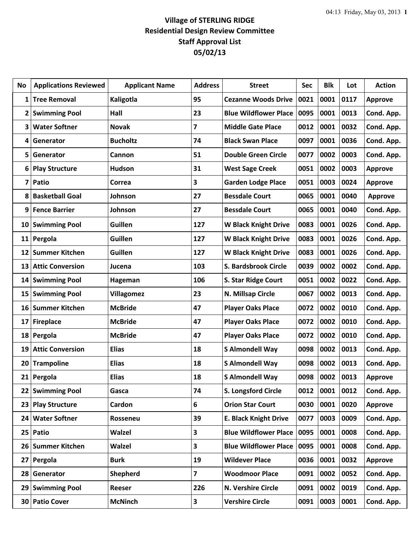## **Village of STERLING RIDGE Residential Design Review Committee Staff Approval List 05/02/13**

| No                      | <b>Applications Reviewed</b> | <b>Applicant Name</b> | <b>Address</b> | <b>Street</b>                | Sec  | <b>Blk</b> | Lot  | <b>Action</b>  |
|-------------------------|------------------------------|-----------------------|----------------|------------------------------|------|------------|------|----------------|
| 1                       | <b>Tree Removal</b>          | Kaligotla             | 95             | <b>Cezanne Woods Drive</b>   | 0021 | 0001       | 0117 | <b>Approve</b> |
| 2                       | <b>Swimming Pool</b>         | Hall                  | 23             | <b>Blue Wildflower Place</b> | 0095 | 0001       | 0013 | Cond. App.     |
| 3                       | <b>Water Softner</b>         | <b>Novak</b>          | 7              | <b>Middle Gate Place</b>     | 0012 | 0001       | 0032 | Cond. App.     |
| 4                       | Generator                    | <b>Bucholtz</b>       | 74             | <b>Black Swan Place</b>      | 0097 | 0001       | 0036 | Cond. App.     |
| 5                       | Generator                    | Cannon                | 51             | <b>Double Green Circle</b>   | 0077 | 0002       | 0003 | Cond. App.     |
| 6                       | <b>Play Structure</b>        | <b>Hudson</b>         | 31             | <b>West Sage Creek</b>       | 0051 | 0002       | 0003 | <b>Approve</b> |
| $\overline{\mathbf{z}}$ | Patio                        | Correa                | 3              | <b>Garden Lodge Place</b>    | 0051 | 0003       | 0024 | <b>Approve</b> |
| 8                       | <b>Basketball Goal</b>       | Johnson               | 27             | <b>Bessdale Court</b>        | 0065 | 0001       | 0040 | <b>Approve</b> |
| 9                       | <b>Fence Barrier</b>         | Johnson               | 27             | <b>Bessdale Court</b>        | 0065 | 0001       | 0040 | Cond. App.     |
| 10                      | <b>Swimming Pool</b>         | Guillen               | 127            | <b>W Black Knight Drive</b>  | 0083 | 0001       | 0026 | Cond. App.     |
|                         | 11 Pergola                   | Guillen               | 127            | <b>W Black Knight Drive</b>  | 0083 | 0001       | 0026 | Cond. App.     |
| 12                      | <b>Summer Kitchen</b>        | Guillen               | 127            | <b>W Black Knight Drive</b>  | 0083 | 0001       | 0026 | Cond. App.     |
| 13                      | <b>Attic Conversion</b>      | Jucena                | 103            | S. Bardsbrook Circle         | 0039 | 0002       | 0002 | Cond. App.     |
| 14                      | <b>Swimming Pool</b>         | Hageman               | 106            | S. Star Ridge Court          | 0051 | 0002       | 0022 | Cond. App.     |
| 15                      | <b>Swimming Pool</b>         | <b>Villagomez</b>     | 23             | N. Millsap Circle            | 0067 | 0002       | 0013 | Cond. App.     |
| 16                      | <b>Summer Kitchen</b>        | <b>McBride</b>        | 47             | <b>Player Oaks Place</b>     | 0072 | 0002       | 0010 | Cond. App.     |
| 17                      | <b>Fireplace</b>             | <b>McBride</b>        | 47             | <b>Player Oaks Place</b>     | 0072 | 0002       | 0010 | Cond. App.     |
| 18                      | Pergola                      | <b>McBride</b>        | 47             | <b>Player Oaks Place</b>     | 0072 | 0002       | 0010 | Cond. App.     |
| 19                      | <b>Attic Conversion</b>      | <b>Elias</b>          | 18             | <b>S Almondell Way</b>       | 0098 | 0002       | 0013 | Cond. App.     |
| 20                      | <b>Trampoline</b>            | <b>Elias</b>          | 18             | <b>S Almondell Way</b>       | 0098 | 0002       | 0013 | Cond. App.     |
| 21                      | Pergola                      | <b>Elias</b>          | 18             | <b>S Almondell Way</b>       | 0098 | 0002       | 0013 | <b>Approve</b> |
| 22                      | <b>Swimming Pool</b>         | Gasca                 | 74             | S. Longsford Circle          | 0012 | 0001       | 0012 | Cond. App.     |
| 23                      | <b>Play Structure</b>        | Cardon                | 6              | <b>Orion Star Court</b>      | 0030 | 0001       | 0020 | Approve        |
| 24                      | <b>Water Softner</b>         | Rosseneu              | 39             | <b>E. Black Knight Drive</b> | 0077 | 0003       | 0009 | Cond. App.     |
| 25                      | Patio                        | <b>Walzel</b>         | 3              | <b>Blue Wildflower Place</b> | 0095 | 0001       | 0008 | Cond. App.     |
| 26                      | <b>Summer Kitchen</b>        | <b>Walzel</b>         | 3              | <b>Blue Wildflower Place</b> | 0095 | 0001       | 0008 | Cond. App.     |
| 27                      | Pergola                      | <b>Burk</b>           | 19             | <b>Wildever Place</b>        | 0036 | 0001       | 0032 | <b>Approve</b> |
| 28                      | Generator                    | Shepherd              | 7              | <b>Woodmoor Place</b>        | 0091 | 0002       | 0052 | Cond. App.     |
| 29                      | <b>Swimming Pool</b>         | Reeser                | 226            | N. Vershire Circle           | 0091 | 0002       | 0019 | Cond. App.     |
| 30                      | <b>Patio Cover</b>           | <b>McNinch</b>        | 3              | <b>Vershire Circle</b>       | 0091 | 0003       | 0001 | Cond. App.     |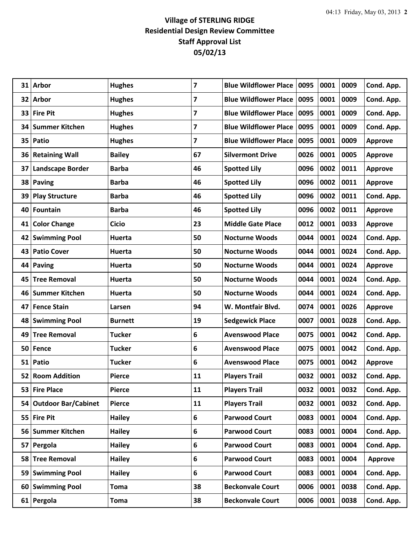## **Village of STERLING RIDGE Residential Design Review Committee Staff Approval List 05/02/13**

| 31        | <b>Arbor</b>               | <b>Hughes</b>  | $\overline{7}$ | Blue Wildflower Place   0095 |      | 0001 | 0009 | Cond. App.     |
|-----------|----------------------------|----------------|----------------|------------------------------|------|------|------|----------------|
| 32        | <b>Arbor</b>               | <b>Hughes</b>  | 7              | Blue Wildflower Place   0095 |      | 0001 | 0009 | Cond. App.     |
| 33        | <b>Fire Pit</b>            | <b>Hughes</b>  | 7              | <b>Blue Wildflower Place</b> | 0095 | 0001 | 0009 | Cond. App.     |
| 34        | <b>Summer Kitchen</b>      | <b>Hughes</b>  | 7              | <b>Blue Wildflower Place</b> | 0095 | 0001 | 0009 | Cond. App.     |
| 35        | Patio                      | <b>Hughes</b>  | 7              | <b>Blue Wildflower Place</b> | 0095 | 0001 | 0009 | <b>Approve</b> |
| 36        | <b>Retaining Wall</b>      | <b>Bailey</b>  | 67             | <b>Silvermont Drive</b>      | 0026 | 0001 | 0005 | <b>Approve</b> |
| 37        | <b>Landscape Border</b>    | <b>Barba</b>   | 46             | <b>Spotted Lily</b>          | 0096 | 0002 | 0011 | <b>Approve</b> |
| 38        | Paving                     | <b>Barba</b>   | 46             | <b>Spotted Lily</b>          | 0096 | 0002 | 0011 | <b>Approve</b> |
| 39        | <b>Play Structure</b>      | <b>Barba</b>   | 46             | <b>Spotted Lily</b>          | 0096 | 0002 | 0011 | Cond. App.     |
| 40        | <b>Fountain</b>            | <b>Barba</b>   | 46             | <b>Spotted Lily</b>          | 0096 | 0002 | 0011 | <b>Approve</b> |
| 41        | <b>Color Change</b>        | <b>Cicio</b>   | 23             | <b>Middle Gate Place</b>     | 0012 | 0001 | 0033 | <b>Approve</b> |
| 42        | <b>Swimming Pool</b>       | Huerta         | 50             | <b>Nocturne Woods</b>        | 0044 | 0001 | 0024 | Cond. App.     |
| 43        | <b>Patio Cover</b>         | Huerta         | 50             | <b>Nocturne Woods</b>        | 0044 | 0001 | 0024 | Cond. App.     |
| 44        | <b>Paving</b>              | Huerta         | 50             | <b>Nocturne Woods</b>        | 0044 | 0001 | 0024 | <b>Approve</b> |
| 45        | <b>Tree Removal</b>        | Huerta         | 50             | <b>Nocturne Woods</b>        | 0044 | 0001 | 0024 | Cond. App.     |
| 46        | <b>Summer Kitchen</b>      | Huerta         | 50             | <b>Nocturne Woods</b>        | 0044 | 0001 | 0024 | Cond. App.     |
| 47        | <b>Fence Stain</b>         | Larsen         | 94             | W. Montfair Blvd.            | 0074 | 0001 | 0026 | <b>Approve</b> |
| 48        | <b>Swimming Pool</b>       | <b>Burnett</b> | 19             | <b>Sedgewick Place</b>       | 0007 | 0001 | 0028 | Cond. App.     |
| 49        | <b>Tree Removal</b>        | <b>Tucker</b>  | 6              | <b>Avenswood Place</b>       | 0075 | 0001 | 0042 | Cond. App.     |
| 50        | Fence                      | <b>Tucker</b>  | 6              | <b>Avenswood Place</b>       | 0075 | 0001 | 0042 | Cond. App.     |
|           | 51 Patio                   | <b>Tucker</b>  | 6              | <b>Avenswood Place</b>       | 0075 | 0001 | 0042 | <b>Approve</b> |
| 52        | <b>Room Addition</b>       | <b>Pierce</b>  | 11             | <b>Players Trail</b>         | 0032 | 0001 | 0032 | Cond. App.     |
| 53        | <b>Fire Place</b>          | <b>Pierce</b>  | 11             | <b>Players Trail</b>         | 0032 | 0001 | 0032 | Cond. App.     |
| 54        | <b>Outdoor Bar/Cabinet</b> | <b>Pierce</b>  | 11             | <b>Players Trail</b>         | 0032 | 0001 | 0032 | Cond. App.     |
|           | 55 Fire Pit                | <b>Hailey</b>  | 6              | <b>Parwood Court</b>         | 0083 | 0001 | 0004 | Cond. App.     |
| 56        | <b>Summer Kitchen</b>      | <b>Hailey</b>  | 6              | <b>Parwood Court</b>         | 0083 | 0001 | 0004 | Cond. App.     |
| 57        | Pergola                    | <b>Hailey</b>  | 6              | <b>Parwood Court</b>         | 0083 | 0001 | 0004 | Cond. App.     |
| 58        | <b>Tree Removal</b>        | <b>Hailey</b>  | 6              | <b>Parwood Court</b>         | 0083 | 0001 | 0004 | Approve        |
| 59        | <b>Swimming Pool</b>       | <b>Hailey</b>  | 6              | <b>Parwood Court</b>         | 0083 | 0001 | 0004 | Cond. App.     |
| <b>60</b> | <b>Swimming Pool</b>       | <b>Toma</b>    | 38             | <b>Beckonvale Court</b>      | 0006 | 0001 | 0038 | Cond. App.     |
|           | 61 Pergola                 | <b>Toma</b>    | 38             | <b>Beckonvale Court</b>      | 0006 | 0001 | 0038 | Cond. App.     |